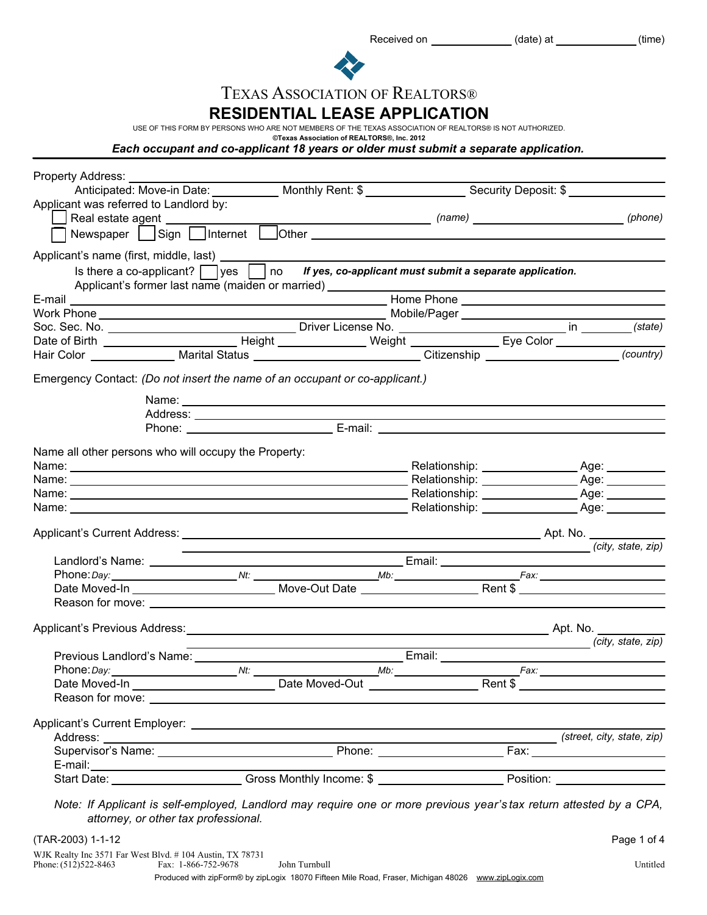| Received on | (date) at | (time) |
|-------------|-----------|--------|
|             |           |        |



## TEXAS ASSOCIATION OF REALTORS®

**RESIDENTIAL LEASE APPLICATION**

USE OF THIS FORM BY PERSONS WHO ARE NOT MEMBERS OF THE TEXAS ASSOCIATION OF REALTORS® IS NOT AUTHORIZED.

**©Texas Association of REALTORS®, Inc. 2012**

*Each occupant and co-applicant 18 years or older must submit a separate application.*

| Property Address: ________                                                                                          |                                                                    |                                                                            |                    |
|---------------------------------------------------------------------------------------------------------------------|--------------------------------------------------------------------|----------------------------------------------------------------------------|--------------------|
| Anticipated: Move-in Date: ___________ Monthly Rent: \$ _________________ Security Deposit: \$ __________           |                                                                    |                                                                            |                    |
| Applicant was referred to Landlord by:                                                                              |                                                                    |                                                                            |                    |
| Real estate agent ______________                                                                                    |                                                                    |                                                                            | (phone)            |
|                                                                                                                     |                                                                    |                                                                            |                    |
|                                                                                                                     |                                                                    |                                                                            |                    |
| Is there a co-applicant? $\Box$ yes $\Box$ no If yes, co-applicant must submit a separate application.              |                                                                    |                                                                            |                    |
| Applicant's former last name (maiden or married) ______________                                                     |                                                                    |                                                                            |                    |
|                                                                                                                     |                                                                    |                                                                            |                    |
|                                                                                                                     |                                                                    |                                                                            |                    |
|                                                                                                                     |                                                                    |                                                                            |                    |
|                                                                                                                     |                                                                    |                                                                            |                    |
| Hair Color ________________ Marital Status ____________________________Citizenship ___________________________      |                                                                    |                                                                            | (country)          |
| Emergency Contact: (Do not insert the name of an occupant or co-applicant.)                                         |                                                                    |                                                                            |                    |
|                                                                                                                     |                                                                    |                                                                            |                    |
|                                                                                                                     |                                                                    |                                                                            |                    |
|                                                                                                                     | Phone: E-mail: E-mail:                                             |                                                                            |                    |
|                                                                                                                     |                                                                    |                                                                            |                    |
| Name all other persons who will occupy the Property:                                                                |                                                                    |                                                                            |                    |
|                                                                                                                     |                                                                    |                                                                            |                    |
|                                                                                                                     |                                                                    |                                                                            |                    |
|                                                                                                                     |                                                                    |                                                                            |                    |
|                                                                                                                     |                                                                    |                                                                            |                    |
|                                                                                                                     |                                                                    |                                                                            |                    |
|                                                                                                                     |                                                                    |                                                                            | (city, state, zip) |
|                                                                                                                     |                                                                    |                                                                            |                    |
|                                                                                                                     |                                                                    |                                                                            |                    |
|                                                                                                                     |                                                                    |                                                                            |                    |
|                                                                                                                     |                                                                    |                                                                            |                    |
|                                                                                                                     |                                                                    |                                                                            |                    |
|                                                                                                                     |                                                                    |                                                                            | (city, state, zip) |
|                                                                                                                     | <u> 1989 - Johann Barn, mars eta bainar eta idazlea (h. 1989).</u> |                                                                            |                    |
|                                                                                                                     |                                                                    |                                                                            |                    |
|                                                                                                                     |                                                                    |                                                                            |                    |
|                                                                                                                     |                                                                    |                                                                            |                    |
|                                                                                                                     |                                                                    |                                                                            |                    |
|                                                                                                                     |                                                                    |                                                                            |                    |
|                                                                                                                     |                                                                    |                                                                            |                    |
|                                                                                                                     |                                                                    |                                                                            |                    |
| Start Date: Case Cross Monthly Income: \$                                                                           |                                                                    | the control of the control of the control of the control of the control of |                    |
|                                                                                                                     |                                                                    |                                                                            |                    |
| Note: If Applicant is self-employed, Landlord may require one or more previous year's tax return attested by a CPA, |                                                                    |                                                                            |                    |
| attorney, or other tax professional.                                                                                |                                                                    |                                                                            |                    |
| (TAR-2003) 1-1-12                                                                                                   |                                                                    |                                                                            | Page 1 of 4        |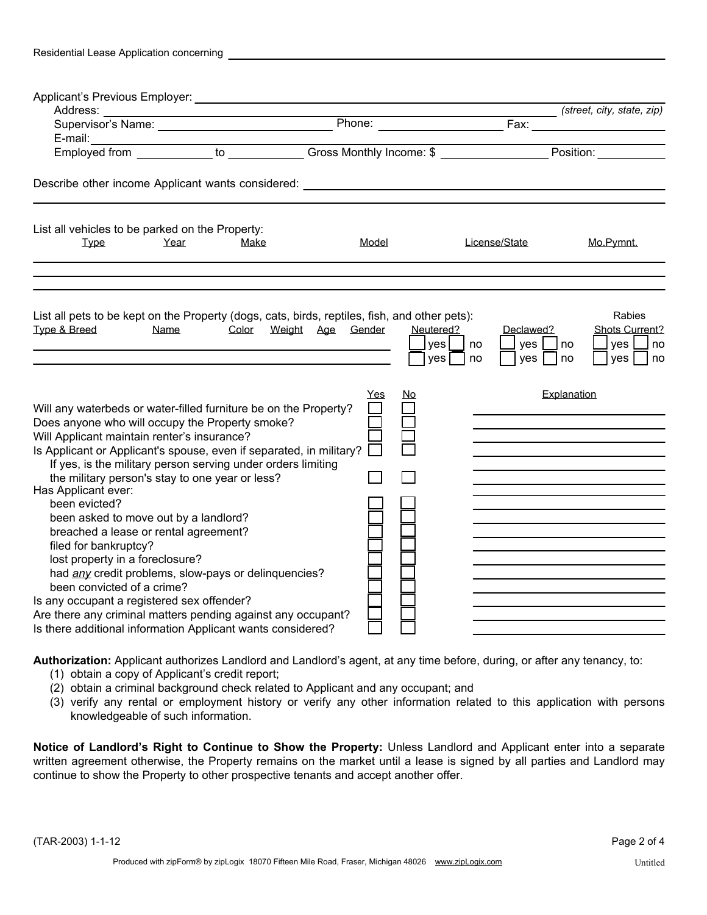| Residential Lease Application concerning |  |  |
|------------------------------------------|--|--|
|                                          |  |  |

|                                                                                                                                                                                                                                                                                                                                                                                                                                                                                                                                                                                                                                                                                                                                                                                                                       |       |                         |                                       | (street, city, state, zip)                                                   |
|-----------------------------------------------------------------------------------------------------------------------------------------------------------------------------------------------------------------------------------------------------------------------------------------------------------------------------------------------------------------------------------------------------------------------------------------------------------------------------------------------------------------------------------------------------------------------------------------------------------------------------------------------------------------------------------------------------------------------------------------------------------------------------------------------------------------------|-------|-------------------------|---------------------------------------|------------------------------------------------------------------------------|
| E-mail: ____________________to ____________Gross Monthly Income: \$ _________________Position: ___________to                                                                                                                                                                                                                                                                                                                                                                                                                                                                                                                                                                                                                                                                                                          |       |                         |                                       |                                                                              |
| Describe other income Applicant wants considered: ______________________________                                                                                                                                                                                                                                                                                                                                                                                                                                                                                                                                                                                                                                                                                                                                      |       |                         |                                       |                                                                              |
| List all vehicles to be parked on the Property:<br>Year<br><b>Type</b><br>Make                                                                                                                                                                                                                                                                                                                                                                                                                                                                                                                                                                                                                                                                                                                                        | Model |                         | License/State                         | Mo.Pymnt.                                                                    |
| List all pets to be kept on the Property (dogs, cats, birds, reptiles, fish, and other pets):<br>Type & Breed<br>Color Weight Age Gender<br>Name                                                                                                                                                                                                                                                                                                                                                                                                                                                                                                                                                                                                                                                                      |       | Neutered?<br>yes<br>yes | Declawed?<br>yes<br>no<br>yes<br>I no | Rabies<br>Shots Current?<br>$ $ yes $ $<br> no<br>no<br>l no<br>$ yes $   no |
| Will any waterbeds or water-filled furniture be on the Property?<br>Does anyone who will occupy the Property smoke?<br>Will Applicant maintain renter's insurance?<br>Is Applicant or Applicant's spouse, even if separated, in military?<br>If yes, is the military person serving under orders limiting<br>the military person's stay to one year or less?<br>Has Applicant ever:<br>been evicted?<br>been asked to move out by a landlord?<br>breached a lease or rental agreement?<br>filed for bankruptcy?<br>lost property in a foreclosure?<br>had any credit problems, slow-pays or delinquencies?<br>been convicted of a crime?<br>Is any occupant a registered sex offender?<br>Are there any criminal matters pending against any occupant?<br>Is there additional information Applicant wants considered? | Yes   | No.                     |                                       | Explanation                                                                  |

**Authorization:** Applicant authorizes Landlord and Landlord's agent, at any time before, during, or after any tenancy, to:

- (1) obtain a copy of Applicant's credit report;
- (2) obtain a criminal background check related to Applicant and any occupant; and
- (3) verify any rental or employment history or verify any other information related to this application with persons knowledgeable of such information.

**Notice of Landlord's Right to Continue to Show the Property:** Unless Landlord and Applicant enter into a separate written agreement otherwise, the Property remains on the market until a lease is signed by all parties and Landlord may continue to show the Property to other prospective tenants and accept another offer.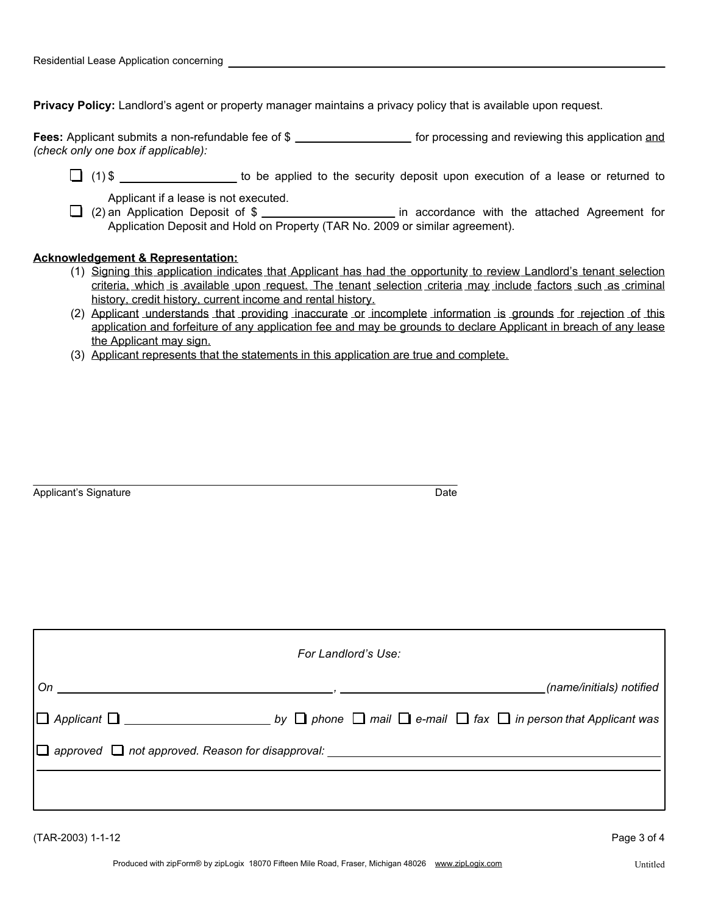**Privacy Policy:** Landlord's agent or property manager maintains a privacy policy that is available upon request.

Fees: Applicant submits a non-refundable fee of \$ \_\_\_\_\_\_\_\_\_\_\_\_\_\_\_\_\_\_\_\_\_ for processing and reviewing this application and *(check only one box if applicable):*

(1) \$ to be applied to the security deposit upon execution of a lease or returned to

Applicant if a lease is not executed.

Application a lease is not executed.<br> **in accordance with the attached Agreement for** (2) an Application Deposit of \$ Application Deposit and Hold on Property (TAR No. 2009 or similar agreement).

## **Acknowledgement & Representation:**

- (1) Signing this application indicates that Applicant has had the opportunity to review Landlord's tenant selection criteria, which is available upon request. The tenant selection criteria may include factors such as criminal history, credit history, current income and rental history.
- (2) Applicant understands that providing inaccurate or incomplete information is grounds for rejection of this application and forfeiture of any application fee and may be grounds to declare Applicant in breach of any lease the Applicant may sign.
- (3) Applicant represents that the statements in this application are true and complete.

Applicant's Signature **Date Date Date Date Date Date Date Date Date Date** 

| For Landlord's Use: |  |
|---------------------|--|
|                     |  |
|                     |  |
|                     |  |
|                     |  |
|                     |  |

(TAR-2003) 1-1-12 Page 3 of 4